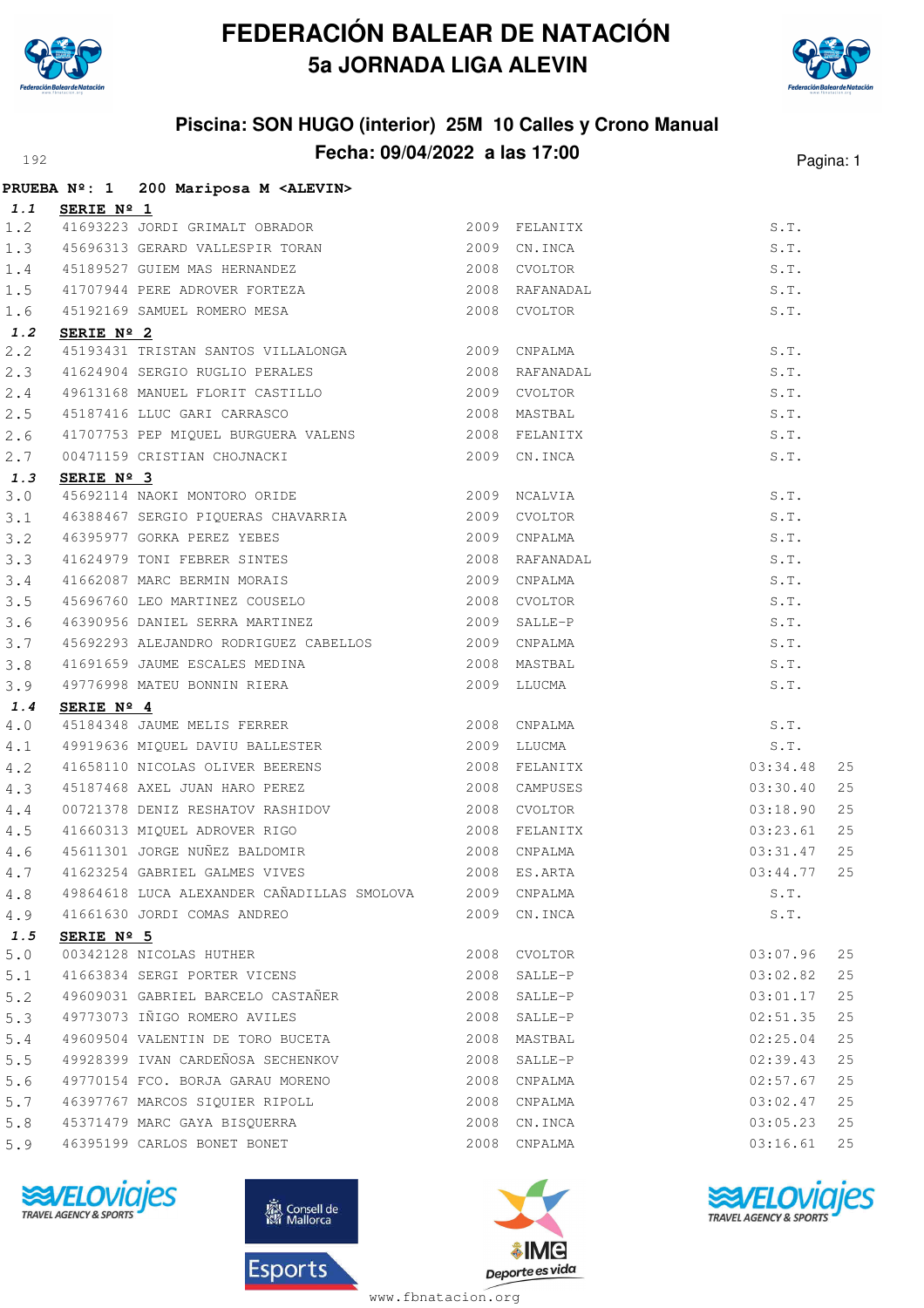



# **Piscina: SON HUGO (interior) 25M 10 Calles y Crono Manual Fecha: 09/04/2022 a las 17:00** Pagina: 1

|       |                     | PRUEBA Nº: 1 200 Mariposa M <alevin></alevin>                                                                                                                                                                                                                                       |      |              |          |    |
|-------|---------------------|-------------------------------------------------------------------------------------------------------------------------------------------------------------------------------------------------------------------------------------------------------------------------------------|------|--------------|----------|----|
| 1.1   | SERIE Nº 1          |                                                                                                                                                                                                                                                                                     |      |              |          |    |
| 1.2   |                     | 41693223 JORDI GRIMALT OBRADOR<br>45696313 GERARD VALLESPIR TORAN 2009 CN.INCA                                                                                                                                                                                                      |      |              | S.T.     |    |
| 1.3   |                     | 45696313 GERARD VALLESPIR TORAN 2009 CN.INCA                                                                                                                                                                                                                                        |      |              | S.T.     |    |
|       |                     |                                                                                                                                                                                                                                                                                     |      |              | S.T.     |    |
|       |                     | 1.4 45189527 GUIEM MAS HERNANDEZ<br>1.5 41707944 PERE ADROVER FORTEZA 2008 RAFANADAL<br>1.6 45192169 SAMUEL ROMERO MESA 2008 CVOLTOR                                                                                                                                                |      |              | S.T.     |    |
|       |                     | 45192169 SAMUEL ROMERO MESA 2008 CVOLTOR                                                                                                                                                                                                                                            |      |              | S.T.     |    |
| 1.2   | SERIE Nº 2          |                                                                                                                                                                                                                                                                                     |      |              |          |    |
| 2.2   |                     |                                                                                                                                                                                                                                                                                     |      |              | S.T.     |    |
| 2.3   |                     | 41624904 SERGIO RUGLIO PERALES 2008 RAFANADAL                                                                                                                                                                                                                                       |      |              | S.T.     |    |
| 2.4   |                     | 2006 KAFANADAL<br>49613168 MANUEL FLORIT CASTILLO<br>45187416 LLUC GARI CARRASCO 2008 MASTBAL<br>41707753 PEP MIQUEL BURGUERA VALENS 2008 FELANITX                                                                                                                                  |      |              | S.T.     |    |
| 2.5   |                     |                                                                                                                                                                                                                                                                                     |      |              | S.T.     |    |
| 2.6   |                     |                                                                                                                                                                                                                                                                                     |      |              | S.T.     |    |
| 2.7   |                     | 00471159 CRISTIAN CHOJNACKI 2009 CN.INCA                                                                                                                                                                                                                                            |      |              | S.T.     |    |
| 1.3   | SERIE Nº 3          |                                                                                                                                                                                                                                                                                     |      |              |          |    |
| 3.0   |                     | 45692114 NAOKI MONTORO ORIDE 2009 NCALVIA                                                                                                                                                                                                                                           |      |              | S.T.     |    |
| 3.1   |                     | 46388467 SERGIO PIQUERAS CHAVARRIA 62009 CVOLTOR                                                                                                                                                                                                                                    |      |              | S.T.     |    |
| 3.2   |                     |                                                                                                                                                                                                                                                                                     |      |              | S.T.     |    |
| 3.3   |                     |                                                                                                                                                                                                                                                                                     |      |              | S.T.     |    |
| 3.4   |                     |                                                                                                                                                                                                                                                                                     |      |              | S.T.     |    |
| 3.5   |                     |                                                                                                                                                                                                                                                                                     |      |              | S.T.     |    |
| 3.6   |                     |                                                                                                                                                                                                                                                                                     |      |              | S.T.     |    |
| 3.7   |                     |                                                                                                                                                                                                                                                                                     |      |              | S.T.     |    |
| 3.8   |                     |                                                                                                                                                                                                                                                                                     |      |              | S.T.     |    |
| 3.9   |                     | 46388467 SERGIO PIQUERAS CHAVARRIA 2009 CVOLTOR<br>46395977 GORKA PEREZ YEBES 2009 CNPALMA<br>41624979 TONI FEBRER SINTES 2008 RAFANADAL<br>41662087 MARC BERMIN MORAIS 2008 RAFANADAL<br>45696760 LEO MARTINEZ COUSELO 2008 CVOLTOR<br><br>49776998 MATEU BONNIN RIERA 2009 LLUCMA |      |              | S.T.     |    |
| 1.4   | SERIE Nº 4          | $\frac{2008 \text{ CNPALM}}{45184348 \text{ JAUME} \text{ MELIS FERR}}$ 2008 CNPALMA                                                                                                                                                                                                |      |              |          |    |
| 4.0   |                     | 45184348 JAUME MELIS FERRER<br>49919636 MIQUEL DAVIU BALLESTER 2009 LLUCMA S.T.<br>41658110 NICOLAS OLIVER BEERENS 2008 FELANITX 03:34.48                                                                                                                                           |      |              |          |    |
| 4.1   |                     |                                                                                                                                                                                                                                                                                     |      |              |          |    |
| 4.2   |                     |                                                                                                                                                                                                                                                                                     |      |              |          | 25 |
| 4.3   |                     | 45187468 AXEL JUAN HARO PEREZ 2008 CAMPUSES                                                                                                                                                                                                                                         |      |              | 03:30.40 | 25 |
| 4.4   |                     |                                                                                                                                                                                                                                                                                     |      |              | 03:18.90 | 25 |
| 4.5   |                     |                                                                                                                                                                                                                                                                                     |      |              | 03:23.61 | 25 |
| 4.6   |                     | 45611301 JORGE NUÑEZ BALDOMIR 2008 CNPALMA                                                                                                                                                                                                                                          |      |              | 03:31.47 | 25 |
|       |                     | 4.7 41623254 GABRIEL GALMES VIVES 2008 ES.ARTA 63:44.77                                                                                                                                                                                                                             |      |              |          | 25 |
| 4.8   |                     | 49864618 LUCA ALEXANDER CAÑADILLAS SMOLOVA 2009 CNPALMA                                                                                                                                                                                                                             |      |              | S.T.     |    |
| 4.9   |                     | 41661630 JORDI COMAS ANDREO                                                                                                                                                                                                                                                         |      | 2009 CN.INCA | S.T.     |    |
| 1.5   | SERIE $N^{\circ}$ 5 |                                                                                                                                                                                                                                                                                     |      |              | 03:07.96 |    |
| $5.0$ |                     | 00342128 NICOLAS HUTHER<br>41663834 SERGI PORTER VICENS                                                                                                                                                                                                                             |      | 2008 CVOLTOR |          | 25 |
| 5.1   |                     |                                                                                                                                                                                                                                                                                     |      | 2008 SALLE-P | 03:02.82 | 25 |
| 5.2   |                     | 49609031 GABRIEL BARCELO CASTAÑER                                                                                                                                                                                                                                                   |      | 2008 SALLE-P | 03:01.17 | 25 |
| 5.3   |                     | 49773073 IÑIGO ROMERO AVILES                                                                                                                                                                                                                                                        |      | 2008 SALLE-P | 02:51.35 | 25 |
| 5.4   |                     | 49609504 VALENTIN DE TORO BUCETA                                                                                                                                                                                                                                                    |      | 2008 MASTBAL | 02:25.04 | 25 |
| 5.5   |                     | 49928399 IVAN CARDEÑOSA SECHENKOV                                                                                                                                                                                                                                                   |      | 2008 SALLE-P | 02:39.43 | 25 |
| 5.6   |                     | 49770154 FCO. BORJA GARAU MORENO                                                                                                                                                                                                                                                    |      | 2008 CNPALMA | 02:57.67 | 25 |
| 5.7   |                     | 46397767 MARCOS SIQUIER RIPOLL                                                                                                                                                                                                                                                      |      | 2008 CNPALMA | 03:02.47 | 25 |
| 5.8   |                     | 45371479 MARC GAYA BISQUERRA                                                                                                                                                                                                                                                        | 2008 | CN.INCA      | 03:05.23 | 25 |
| 5.9   |                     | 46395199 CARLOS BONET BONET                                                                                                                                                                                                                                                         |      | 2008 CNPALMA | 03:16.61 | 25 |







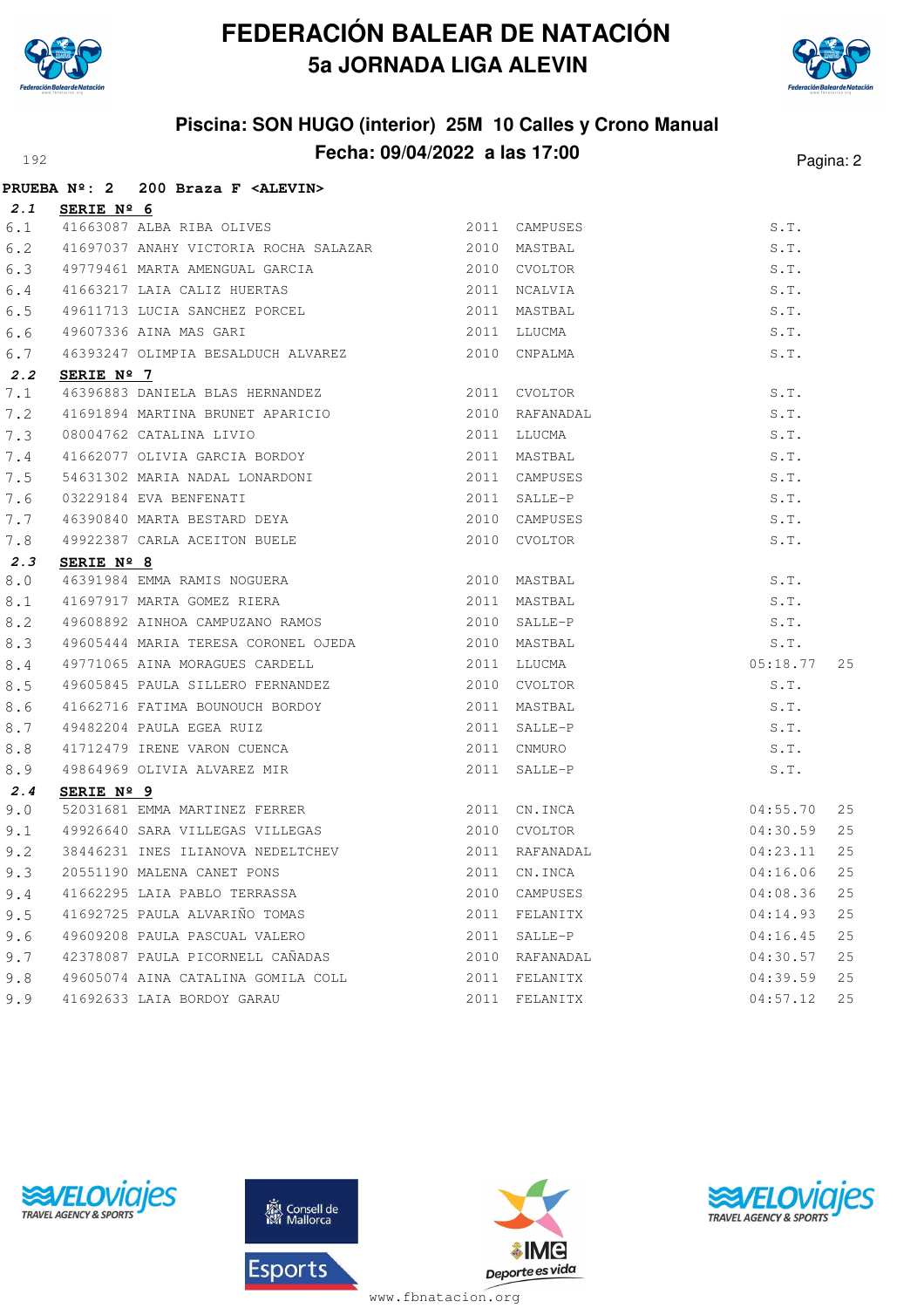



# **Piscina: SON HUGO (interior) 25M 10 Calles y Crono Manual Fecha: 09/04/2022 a las 17:00** Pagina: 2

|     |                     | PRUEBA Nº: 2 200 Braza F <alevin></alevin>                                                      |      |                                |          |    |
|-----|---------------------|-------------------------------------------------------------------------------------------------|------|--------------------------------|----------|----|
| 2.1 | SERIE Nº 6          |                                                                                                 |      |                                |          |    |
| 6.1 |                     | 41663087 ALBA RIBA OLIVES                                                                       |      | 2011 CAMPUSES                  | S.T.     |    |
| 6.2 |                     | 41697037 ANAHY VICTORIA ROCHA SALAZAR 2010 MASTBAL                                              |      |                                | S.T.     |    |
| 6.3 |                     | 49779461 MARTA AMENGUAL GARCIA (2010 CVOLTOR                                                    |      |                                | S.T.     |    |
| 6.4 |                     |                                                                                                 |      |                                | S.T.     |    |
| 6.5 |                     |                                                                                                 |      |                                | S.T.     |    |
| 6.6 |                     | 2011 LLUCMA<br>49607336 AINA MAS GARI                                                           |      |                                | S.T.     |    |
| 6.7 |                     | 46393247 OLIMPIA BESALDUCH ALVAREZ 2010 CNPALMA                                                 |      |                                | S.T.     |    |
| 2.2 | SERIE Nº 7          |                                                                                                 |      |                                |          |    |
| 7.1 |                     | 46396883 DANIELA BLAS HERNANDEZ 2011 CVOLTOR                                                    |      |                                | S.T.     |    |
| 7.2 |                     |                                                                                                 |      | 2010 RAFANADAL                 | S.T.     |    |
| 7.3 |                     |                                                                                                 |      |                                | S.T.     |    |
| 7.4 |                     |                                                                                                 |      |                                | S.T.     |    |
| 7.5 |                     | 54631302 MARIA NADAL LONARDONI                                                                  |      | 2011 CAMPUSES                  | S.T.     |    |
| 7.6 |                     |                                                                                                 |      |                                | S.T.     |    |
| 7.7 |                     |                                                                                                 |      |                                | S.T.     |    |
| 7.8 |                     | 49922387 CARLA ACEITON BUELE 2010 CVOLTOR                                                       |      |                                | S.T.     |    |
| 2.3 | SERIE $N^{\circ}$ 8 |                                                                                                 |      |                                |          |    |
| 8.0 |                     |                                                                                                 |      |                                | S.T.     |    |
| 8.1 |                     | 46391984 EMMA RAMIS NOGUERA 2010 MASTBAL<br>41697917 MARTA GOMEZ RIERA 2011 MASTBAL<br>10000111 |      |                                | S.T.     |    |
| 8.2 |                     | 49608892 AINHOA CAMPUZANO RAMOS  2010 SALLE-P                                                   |      |                                | S.T.     |    |
| 8.3 |                     |                                                                                                 |      |                                | S.T.     |    |
| 8.4 |                     | 49771065 AINA MORAGUES CARDELL                                                                  |      | 2011 LLUCMA                    | 05:18.77 | 25 |
| 8.5 |                     | 49605845 PAULA SILLERO FERNANDEZ 2010 CVOLTOR                                                   |      |                                | S.T.     |    |
| 8.6 |                     | 41662716 FATIMA BOUNOUCH BORDOY 2011 MASTBAL                                                    |      |                                | S.T.     |    |
| 8.7 |                     |                                                                                                 |      | 2011 SALLE-P                   | S.T.     |    |
| 8.8 |                     |                                                                                                 |      | 2011 CNMURO                    | S.T.     |    |
| 8.9 |                     | 49482204 PAULA EGEA RUIZ<br>41712479 IRENE VARON CUENCA<br>49864969 OLIVIA ALVAREZ MIR          |      | 2011 SALLE-P                   | S.T.     |    |
| 2.4 | SERIE $N^{\circ}$ 9 |                                                                                                 |      |                                |          |    |
| 9.0 |                     | 52031681 EMMA MARTINEZ FERRER 2011 CN.INCA                                                      |      |                                | 04:55.70 | 25 |
| 9.1 |                     | 49926640 SARA VILLEGAS VILLEGAS 2010 CVOLTOR                                                    |      |                                | 04:30.59 | 25 |
| 9.2 |                     | 38446231 INES ILIANOVA NEDELTCHEV<br>20551190 MALENA CANET PONS                                 |      | 2011 RAFANADAL<br>2011 CN.INCA | 04:23.11 | 25 |
| 9.3 |                     | 20551190 MALENA CANET PONS                                                                      |      |                                | 04:16.06 | 25 |
| 9.4 |                     | 41662295 LAIA PABLO TERRASSA                                                                    | 2010 | CAMPUSES                       | 04:08.36 | 25 |
| 9.5 |                     | 41692725 PAULA ALVARIÑO TOMAS                                                                   | 2011 | FELANITX                       | 04:14.93 | 25 |
| 9.6 |                     | 49609208 PAULA PASCUAL VALERO                                                                   |      | 2011 SALLE-P                   | 04:16.45 | 25 |
| 9.7 |                     | 42378087 PAULA PICORNELL CAÑADAS                                                                |      | 2010 RAFANADAL                 | 04:30.57 | 25 |
| 9.8 |                     | 49605074 AINA CATALINA GOMILA COLL                                                              | 2011 | FELANITX                       | 04:39.59 | 25 |
| 9.9 |                     | 41692633 LAIA BORDOY GARAU                                                                      |      | 2011 FELANITX                  | 04:57.12 | 25 |







www.fbnatacion.org

AIME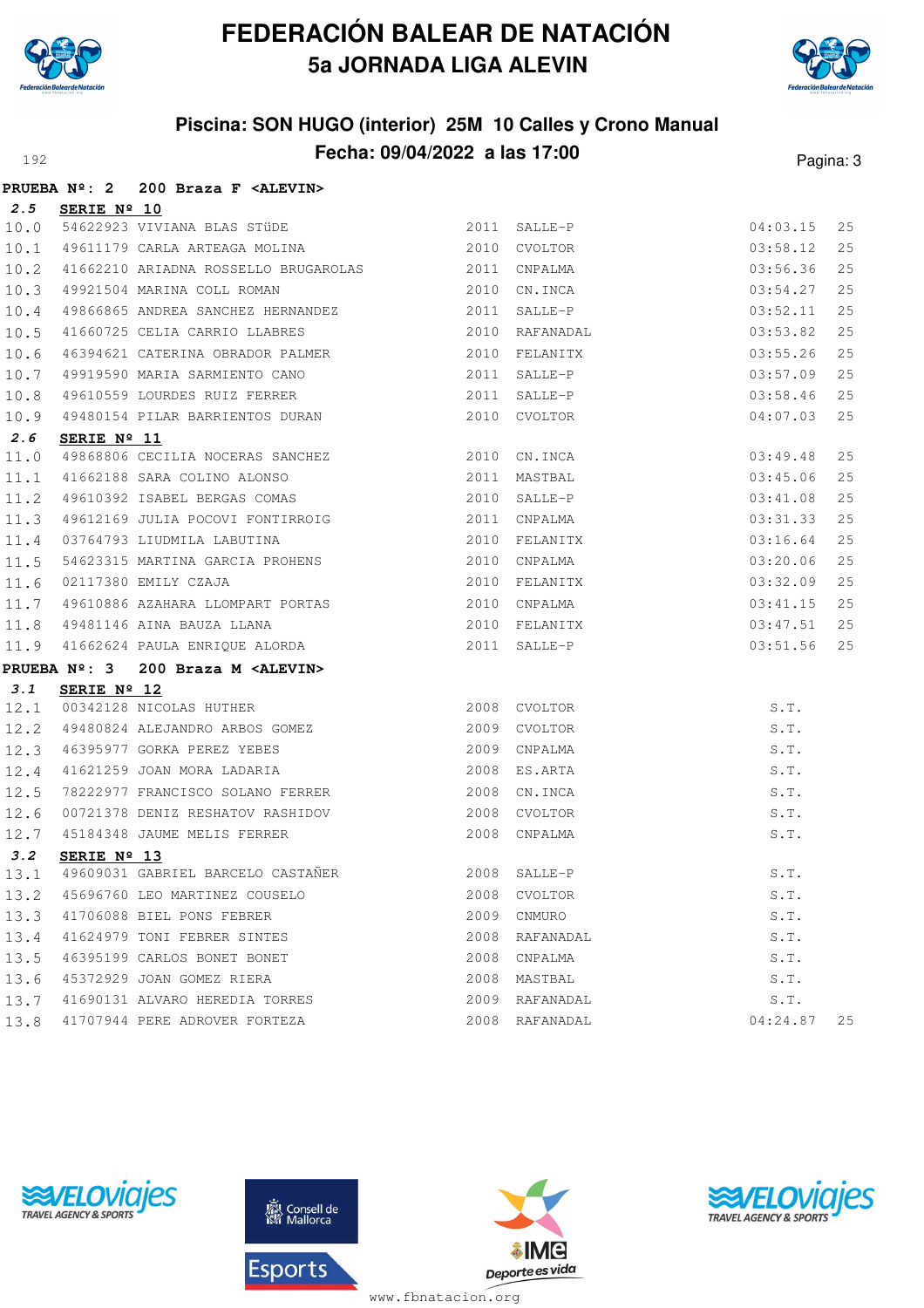

**PRUEBA Nº: 2 200 Braza F <ALEVIN>**

# **FEDERACIÓN BALEAR DE NATACIÓN 5a JORNADA LIGA ALEVIN**



### **Piscina: SON HUGO (interior) 25M 10 Calles y Crono Manual Fecha: 09/04/2022 a las 17:00** Pagina: 3

|      |                     | FRUEBA Nº. Z ZUU BIAZA F SALEVINZ                                                                                                                                           |                                         |           |          |    |
|------|---------------------|-----------------------------------------------------------------------------------------------------------------------------------------------------------------------------|-----------------------------------------|-----------|----------|----|
| 2.5  | SERIE Nº 10         |                                                                                                                                                                             |                                         |           |          |    |
| 10.0 |                     | 54622923 VIVIANA BLAS STÜDE 2011 SALLE-P                                                                                                                                    |                                         |           | 04:03.15 | 25 |
| 10.1 |                     | 49611179 CARLA ARTEAGA MOLINA (2010 CVOLTOR                                                                                                                                 |                                         |           | 03:58.12 | 25 |
| 10.2 |                     | 41662210 ARIADNA ROSSELLO BRUGAROLAS 2011 CNPALMA                                                                                                                           |                                         |           | 03:56.36 | 25 |
| 10.3 |                     | 49921504 MARINA COLL ROMAN 2010 CN.INCA                                                                                                                                     |                                         |           | 03:54.27 | 25 |
| 10.4 |                     | 49866865 ANDREA SANCHEZ HERNANDEZ 2011 SALLE-P                                                                                                                              |                                         |           | 03:52.11 | 25 |
| 10.5 |                     | 41660725 CELIA CARRIO LLABRES 2010 RAFANADAL                                                                                                                                |                                         |           | 03:53.82 | 25 |
| 10.6 |                     |                                                                                                                                                                             |                                         |           | 03:55.26 | 25 |
| 10.7 |                     |                                                                                                                                                                             |                                         |           | 03:57.09 | 25 |
| 10.8 |                     |                                                                                                                                                                             |                                         |           | 03:58.46 | 25 |
| 10.9 |                     | 49480154 PILAR BARRIENTOS DURAN 2010 CVOLTOR                                                                                                                                |                                         |           | 04:07.03 | 25 |
| 2.6  | SERIE Nº 11         |                                                                                                                                                                             |                                         |           |          |    |
| 11.0 |                     | 49868806 CECILIA NOCERAS SANCHEZ<br>41662188 SARA COLINO ALONSO 2011 MASTBAL<br>49610392 ISABEL BERGAS COMAS 2010 SALLE-P                                                   |                                         |           | 03:49.48 | 25 |
| 11.1 |                     |                                                                                                                                                                             |                                         |           | 03:45.06 | 25 |
| 11.2 |                     |                                                                                                                                                                             |                                         |           | 03:41.08 | 25 |
| 11.3 |                     | 49612169 JULIA POCOVI FONTIRROIG 2011 CNPALMA                                                                                                                               |                                         |           | 03:31.33 | 25 |
| 11.4 |                     |                                                                                                                                                                             |                                         |           | 03:16.64 | 25 |
| 11.5 |                     | 03764793 LIUDMILA LABUTINA<br>54623315 MARTINA GARCIA PROHENS 2010 CNPALMA                                                                                                  | A PROHENS 2010 CNPALMA<br>2010 FELANITX |           | 03:20.06 | 25 |
| 11.6 |                     | 02117380 EMILY CZAJA                                                                                                                                                        |                                         |           | 03:32.09 | 25 |
| 11.7 |                     |                                                                                                                                                                             |                                         |           | 03:41.15 | 25 |
| 11.8 |                     |                                                                                                                                                                             |                                         |           | 03:47.51 | 25 |
| 11.9 |                     | 49481146 AINA BAUZA LLANA<br>41662624 PAULA ENRIQUE ALORDA<br>2011 SALLE-P                                                                                                  |                                         |           | 03:51.56 | 25 |
|      | <b>PRUEBA Nº: 3</b> | 200 Braza M <alevin></alevin>                                                                                                                                               |                                         |           |          |    |
| 3.1  |                     |                                                                                                                                                                             |                                         |           |          |    |
| 12.1 |                     | <b>SERIE Nº 12</b><br>00342128 NICOLAS HUTHER<br>49480824 ALEJANDRO ARBOS GOMEZ<br>46395977 GORKA PEREZ YEBES<br>41621259 JOAN MORA LADARIA<br>2009 CNPALMA<br>2008 ES.ARTA |                                         |           | S.T.     |    |
| 12.2 |                     |                                                                                                                                                                             |                                         |           | S.T.     |    |
| 12.3 |                     |                                                                                                                                                                             |                                         |           | S.T.     |    |
| 12.4 |                     |                                                                                                                                                                             |                                         |           | S.T.     |    |
| 12.5 |                     | 78222977 FRANCISCO SOLANO FERRER 2008 CN.INCA                                                                                                                               |                                         |           | S.T.     |    |
| 12.6 |                     |                                                                                                                                                                             |                                         |           | S.T.     |    |
| 12.7 |                     |                                                                                                                                                                             |                                         |           | S.T.     |    |
| 3.2  | SERIE Nº 13         |                                                                                                                                                                             |                                         |           |          |    |
| 13.1 |                     | 49609031 GABRIEL BARCELO CASTAÑER 49609031 GABRIEL BARCELO CASTAÑER 2008 SALLE-P                                                                                            |                                         |           | S.T.     |    |
| 13.2 |                     | 45696760 LEO MARTINEZ COUSELO                                                                                                                                               | 2008                                    | CVOLTOR   | S.T.     |    |
| 13.3 |                     | 41706088 BIEL PONS FEBRER                                                                                                                                                   | 2009                                    | CNMURO    | S.T.     |    |
| 13.4 |                     | 41624979 TONI FEBRER SINTES                                                                                                                                                 | 2008                                    | RAFANADAL | S.T.     |    |
| 13.5 |                     | 46395199 CARLOS BONET BONET                                                                                                                                                 | 2008                                    | CNPALMA   | S.T.     |    |
| 13.6 |                     | 45372929 JOAN GOMEZ RIERA                                                                                                                                                   | 2008                                    | MASTBAL   | S.T.     |    |
| 13.7 |                     | 41690131 ALVARO HEREDIA TORRES                                                                                                                                              | 2009                                    | RAFANADAL | S.T.     |    |
| 13.8 |                     | 41707944 PERE ADROVER FORTEZA                                                                                                                                               | 2008                                    | RAFANADAL | 04:24.87 | 25 |







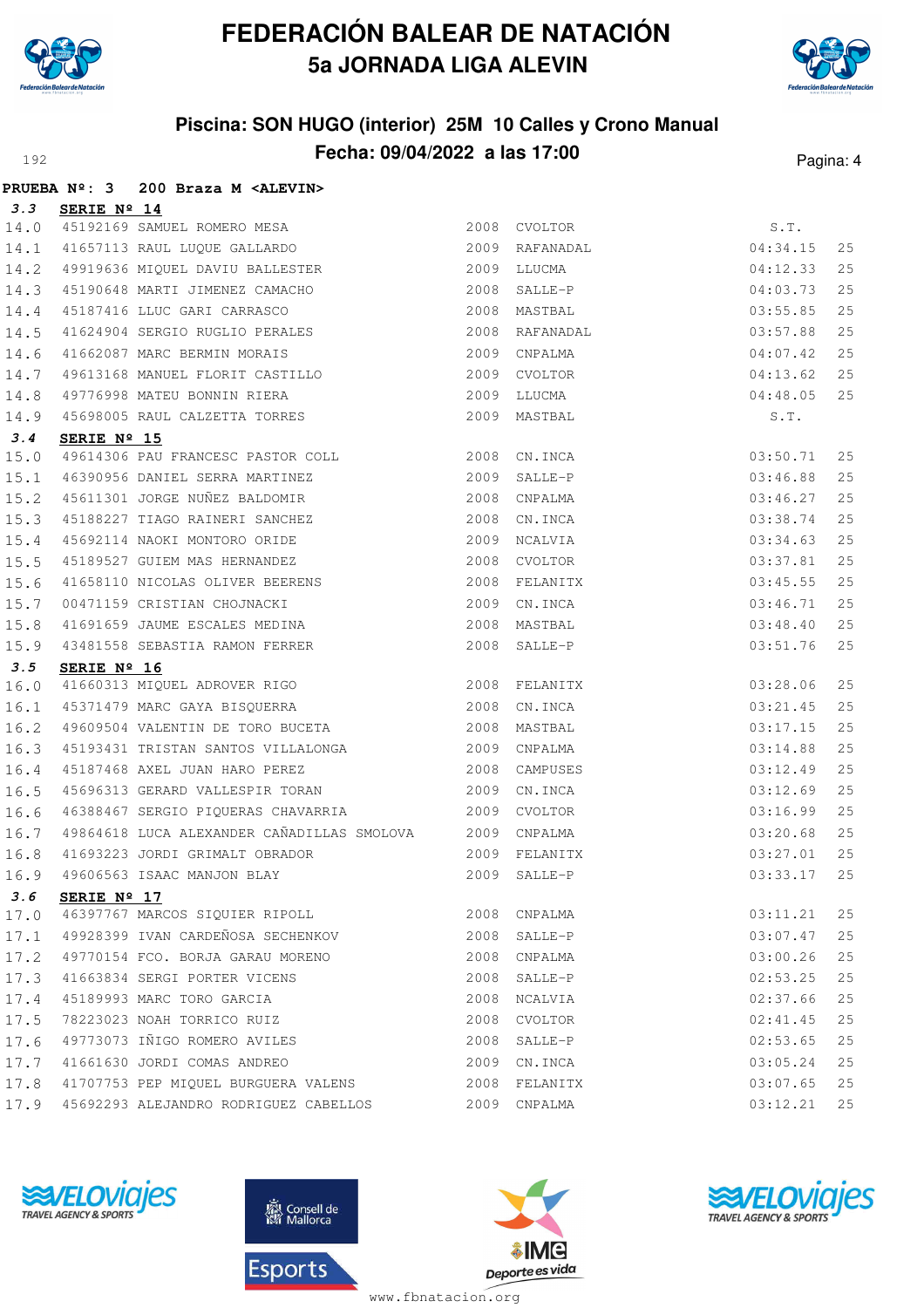

**PRUEBA Nº: 3 200 Braza M <ALEVIN>**

# **FEDERACIÓN BALEAR DE NATACIÓN 5a JORNADA LIGA ALEVIN**



### **Piscina: SON HUGO (interior) 25M 10 Calles y Crono Manual Fecha: 09/04/2022 a las 17:00** Pagina: 4

| 3.3  | SERIE Nº 14                                                                                                                       |      |                                      |          |    |
|------|-----------------------------------------------------------------------------------------------------------------------------------|------|--------------------------------------|----------|----|
| 14.0 | 3ERIE Nº 14<br>45192169 SAMUEL ROMERO MESA<br>41657113 RAUL LUQUE GALLARDO                                                        |      | CVOLTOR<br>RAFANADAL<br>2008 CVOLTOR | S.T.     |    |
| 14.1 |                                                                                                                                   | 2009 |                                      | 04:34.15 | 25 |
| 14.2 | 49919636 MIQUEL DAVIU BALLESTER                                                                                                   |      | 2009 LLUCMA                          | 04:12.33 | 25 |
| 14.3 | 45190648 MARTI JIMENEZ CAMACHO                                                                                                    |      | 2008 SALLE-P                         | 04:03.73 | 25 |
| 14.4 | 45187416 LLUC GARI CARRASCO                                                                                                       | 2008 | MASTBAL                              | 03:55.85 | 25 |
| 14.5 | 41624904 SERGIO RUGLIO PERALES                                                                                                    | 2008 | RAFANADAL                            | 03:57.88 | 25 |
| 14.6 | 41662087 MARC BERMIN MORAIS                                                                                                       | 2009 | CNPALMA                              | 04:07.42 | 25 |
| 14.7 |                                                                                                                                   | 2009 | CVOLTOR                              | 04:13.62 | 25 |
| 14.8 | 49613168 MANUEL FLORIT CASTILLO<br>49776998 MATEU BONNIN RIERA                                                                    | 2009 | LLUCMA                               | 04:48.05 | 25 |
| 14.9 | 45698005 RAUL CALZETTA TORRES                                                                                                     |      | 2009 MASTBAL                         | S.T.     |    |
| 3.4  | SERIE Nº 15                                                                                                                       |      |                                      |          |    |
| 15.0 | 49614306 PAU FRANCESC PASTOR COLL 2008 CN.INCA                                                                                    |      |                                      | 03:50.71 | 25 |
| 15.1 | 46390956 DANIEL SERRA MARTINEZ 2009 SALLE-P                                                                                       |      |                                      | 03:46.88 | 25 |
| 15.2 | 45611301 JORGE NUÑEZ BALDOMIR                                                                                                     | 2008 | CNPALMA                              | 03:46.27 | 25 |
| 15.3 | 45188227 TIAGO RAINERI SANCHEZ                                                                                                    | 2008 | CN.INCA                              | 03:38.74 | 25 |
| 15.4 |                                                                                                                                   | 2009 | NCALVIA                              | 03:34.63 | 25 |
| 15.5 | 45692114 NAOKI MONTORO ORIDE<br>45189527 GUIEM MAS HERNANDEZ                                                                      | 2008 | CVOLTOR                              | 03:37.81 | 25 |
| 15.6 |                                                                                                                                   | 2008 | FELANITX                             | 03:45.55 | 25 |
| 15.7 |                                                                                                                                   | 2009 | CN.INCA                              | 03:46.71 | 25 |
| 15.8 |                                                                                                                                   |      | 2008 MASTBAL                         | 03:48.40 | 25 |
| 15.9 | 41658110 NICOLAS OLIVER BEERENS<br>00471159 CRISTIAN CHOJNACKI<br>41691659 JAUME ESCALES MEDINA<br>43481558 SEBASTIA RAMON FERRER |      | 2008 SALLE-P                         | 03:51.76 | 25 |
| 3.5  | SERIE Nº 16                                                                                                                       |      |                                      |          |    |
| 16.0 |                                                                                                                                   |      |                                      | 03:28.06 | 25 |
| 16.1 | 45371479 MARC GAYA BISQUERRA 2008                                                                                                 |      | CN.INCA                              | 03:21.45 | 25 |
| 16.2 | 49609504 VALENTIN DE TORO BUCETA                                                                                                  |      | 2008 MASTBAL                         | 03:17.15 | 25 |
| 16.3 | 45193431 TRISTAN SANTOS VILLALONGA                                                                                                | 2009 | CNPALMA                              | 03:14.88 | 25 |
| 16.4 | 45187468 AXEL JUAN HARO PEREZ 2008                                                                                                |      | CAMPUSES                             |          | 25 |
|      |                                                                                                                                   |      |                                      | 03:12.49 |    |
| 16.5 | 45696313 GERARD VALLESPIR TORAN 2009 CN.INCA                                                                                      |      |                                      | 03:12.69 | 25 |
| 16.6 | 46388467 SERGIO PIQUERAS CHAVARRIA                                                                                                |      | 2009 CVOLTOR                         | 03:16.99 | 25 |
| 16.7 | 49864618 LUCA ALEXANDER CAÑADILLAS SMOLOVA 2009 CNPALMA                                                                           |      |                                      | 03:20.68 | 25 |
| 16.8 | 41693223 JORDI GRIMALT OBRADOR                                                                                                    | 2009 | FELANITX                             | 03:27.01 | 25 |
| 16.9 | 49606563 ISAAC MANJON BLAY                                                                                                        | 2009 | SALLE-P                              | 03:33.17 | 25 |
|      | 3.6 SERIE Nº 17                                                                                                                   |      |                                      |          |    |
| 17.0 | 46397767 MARCOS SIQUIER RIPOLL                                                                                                    |      | 2008 CNPALMA                         | 03:11.21 | 25 |
| 17.1 | 49928399 IVAN CARDEÑOSA SECHENKOV                                                                                                 | 2008 | SALLE-P                              | 03:07.47 | 25 |
| 17.2 | 49770154 FCO. BORJA GARAU MORENO                                                                                                  | 2008 | CNPALMA                              | 03:00.26 | 25 |
| 17.3 | 41663834 SERGI PORTER VICENS                                                                                                      | 2008 | SALLE-P                              | 02:53.25 | 25 |
| 17.4 | 45189993 MARC TORO GARCIA                                                                                                         | 2008 | NCALVIA                              | 02:37.66 | 25 |
| 17.5 | 78223023 NOAH TORRICO RUIZ                                                                                                        | 2008 | CVOLTOR                              | 02:41.45 | 25 |
| 17.6 | 49773073 IÑIGO ROMERO AVILES                                                                                                      | 2008 | SALLE-P                              | 02:53.65 | 25 |
| 17.7 | 41661630 JORDI COMAS ANDREO                                                                                                       |      | 2009 CN. INCA                        | 03:05.24 | 25 |
| 17.8 | 41707753 PEP MIQUEL BURGUERA VALENS                                                                                               | 2008 | FELANITX                             | 03:07.65 | 25 |







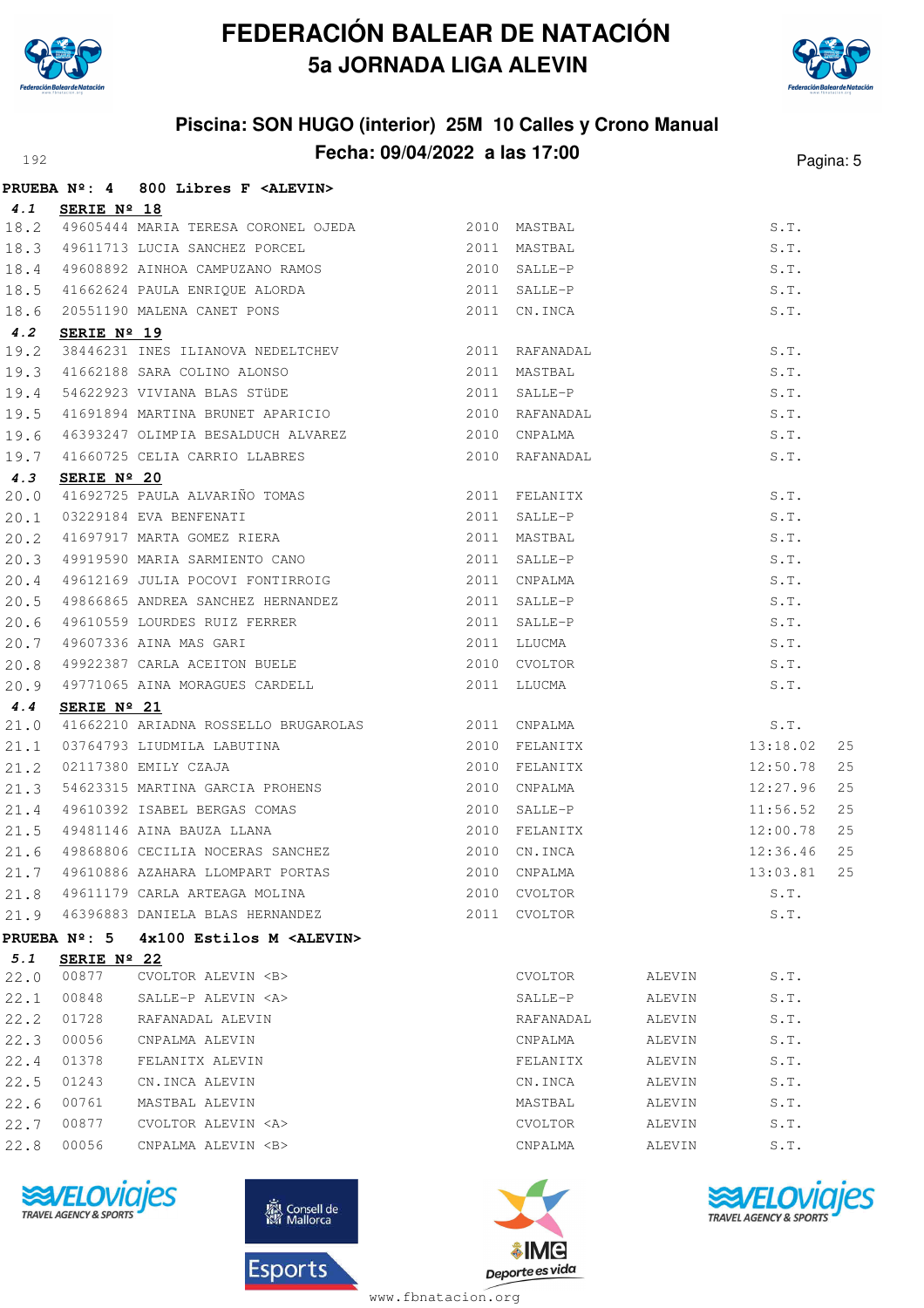



#### **Piscina: SON HUGO (interior) 25M 10 Calles y Crono Manual Fecha: 09/04/2022 a las 17:00** Pagina: 5

|      |                     | PRUEBA Nº: 4 800 Libres F <alevin></alevin>                                                                                                                                                                                                   |      |                |        |          |    |
|------|---------------------|-----------------------------------------------------------------------------------------------------------------------------------------------------------------------------------------------------------------------------------------------|------|----------------|--------|----------|----|
| 4.1  | SERIE Nº 18         |                                                                                                                                                                                                                                               |      |                |        |          |    |
|      |                     | 18.2 49605444 MARIA TERESA CORONEL OJEDA 2010 MASTBAL                                                                                                                                                                                         |      |                |        | S.T.     |    |
| 18.3 |                     | 49611713 LUCIA SANCHEZ PORCEL 2011 MASTBAL                                                                                                                                                                                                    |      |                |        | S.T.     |    |
| 18.4 |                     | 49608892 AINHOA CAMPUZANO RAMOS 2010 SALLE-P                                                                                                                                                                                                  |      |                |        | S.T.     |    |
| 18.5 |                     |                                                                                                                                                                                                                                               |      |                |        | S.T.     |    |
| 18.6 |                     | 2010 SALLE-P<br>41662624 PAULA ENRIQUE ALORDA<br>2011 SALLE-P<br>20551190 MALENA CANET PONS<br>2011 CN.INCA<br>SERIE Nº 19                                                                                                                    |      |                |        | S.T.     |    |
| 4.2  |                     |                                                                                                                                                                                                                                               |      |                |        |          |    |
| 19.2 |                     |                                                                                                                                                                                                                                               |      |                |        | S.T.     |    |
| 19.3 |                     |                                                                                                                                                                                                                                               |      |                |        | S.T.     |    |
| 19.4 |                     |                                                                                                                                                                                                                                               |      |                |        | S.T.     |    |
| 19.5 |                     |                                                                                                                                                                                                                                               |      |                |        | S.T.     |    |
| 19.6 |                     |                                                                                                                                                                                                                                               |      |                |        | S.T.     |    |
| 19.7 |                     | 38446231 INES ILIANOVA NEDELTCHEV 2011 RAFANADAL<br>41662188 SARA COLINO ALONSO 2011 MASTBAL<br>54622923 VIVIANA BLAS STÜDE 2011 SALLE-P<br>41691894 MARTINA BRUNET APARICIO 2010 RAFANADAL<br>46393247 OLIMPIA BESALDUCH ALVAREZ 2010        |      |                |        | S.T.     |    |
| 4.3  | SERIE Nº 20         | <b>SERIE Nº 20</b><br>41692725 PAULA ALVARIÑO TOMAS 2011 FELANITX<br>03229184 EVA BENFENATI 2011 SALLE-P<br>41697917 MARTA GOMEZ RIERA 2011 MASTBAL<br>49919590 MARIA SARMIENTO CANO 2011 SALLE-P<br>49612169 JULIA POCOVI FONTIRROIG 2011 CN |      |                |        |          |    |
| 20.0 |                     |                                                                                                                                                                                                                                               |      |                |        | S.T.     |    |
| 20.1 |                     |                                                                                                                                                                                                                                               |      |                |        | S.T.     |    |
| 20.2 |                     |                                                                                                                                                                                                                                               |      |                |        | S.T.     |    |
| 20.3 |                     |                                                                                                                                                                                                                                               |      |                |        | S.T.     |    |
| 20.4 |                     |                                                                                                                                                                                                                                               |      |                |        | S.T.     |    |
| 20.5 |                     | 49866865 ANDREA SANCHEZ HERNANDEZ 2011 SALLE-P                                                                                                                                                                                                |      |                |        | S.T.     |    |
| 20.6 |                     |                                                                                                                                                                                                                                               |      |                |        | S.T.     |    |
| 20.7 |                     |                                                                                                                                                                                                                                               |      |                |        | S.T.     |    |
| 20.8 |                     |                                                                                                                                                                                                                                               |      |                |        | S.T.     |    |
| 20.9 |                     | 49610559 LOURDES RUIZ FERRER 2011 SALLE-P<br>49607336 AINA MAS GARI 2011 LLUCMA<br>49922387 CARLA ACEITON BUELE 2010 CVOLTOR<br>49771065 AINA MORAGUES CARDELL 2011 LLUCMA                                                                    |      |                |        | S.T.     |    |
| 4.4  | SERIE Nº 21         |                                                                                                                                                                                                                                               |      |                |        |          |    |
| 21.0 |                     | 41662210 ARIADNA ROSSELLO BRUGAROLAS 2011 CNPALMA S.T.<br>03764793 LIUDMILA LABUTINA 2010 FELANITX 13:18.02<br>02117380 EMILY CZAJA 2010 FELANITX 12:50.78<br>54623315 MARTINA GARCIA PROHENS 2010 CNPALMA 12:27.96                           |      |                |        |          |    |
| 21.1 |                     |                                                                                                                                                                                                                                               |      |                |        |          | 25 |
| 21.2 |                     |                                                                                                                                                                                                                                               |      |                |        |          | 25 |
| 21.3 |                     |                                                                                                                                                                                                                                               |      |                |        |          | 25 |
| 21.4 |                     |                                                                                                                                                                                                                                               |      |                |        | 11:56.52 | 25 |
| 21.5 |                     | 93023313 Immitime School<br>49610392 ISABEL BERGAS COMAS<br>49481146 AINA BAUZA LLANA 2010 FELANITX<br>49868806 CECILIA NOCERAS SANCHEZ 2010 CN.INCA                                                                                          |      |                |        | 12:00.78 | 25 |
| 21.6 |                     |                                                                                                                                                                                                                                               |      |                |        | 12:36.46 | 25 |
| 21.7 |                     | 49610886 AZAHARA LLOMPART PORTAS                                                                                                                                                                                                              | 2010 | CNPALMA        |        | 13:03.81 | 25 |
| 21.8 |                     | 49611179 CARLA ARTEAGA MOLINA                                                                                                                                                                                                                 | 2010 | <b>CVOLTOR</b> |        | S.T.     |    |
|      |                     | 21.9 46396883 DANIELA BLAS HERNANDEZ                                                                                                                                                                                                          |      | 2011 CVOLTOR   |        | S.T.     |    |
|      | <b>PRUEBA Nº: 5</b> | 4x100 Estilos M <alevin></alevin>                                                                                                                                                                                                             |      |                |        |          |    |
| 5.1  | SERIE Nº 22         |                                                                                                                                                                                                                                               |      |                |        |          |    |
| 22.0 | 00877               | CVOLTOR ALEVIN <b></b>                                                                                                                                                                                                                        |      | CVOLTOR        | ALEVIN | S.T.     |    |
| 22.1 | 00848               | SALLE-P ALEVIN <a></a>                                                                                                                                                                                                                        |      | SALLE-P        | ALEVIN | S.T.     |    |
| 22.2 | 01728               | RAFANADAL ALEVIN                                                                                                                                                                                                                              |      | RAFANADAL      | ALEVIN | S.T.     |    |
| 22.3 | 00056               | CNPALMA ALEVIN                                                                                                                                                                                                                                |      | CNPALMA        | ALEVIN | S.T.     |    |
| 22.4 | 01378               | FELANITX ALEVIN                                                                                                                                                                                                                               |      | FELANITX       | ALEVIN | S.T.     |    |
| 22.5 | 01243               | CN.INCA ALEVIN                                                                                                                                                                                                                                |      | CN.INCA        | ALEVIN | S.T.     |    |
| 22.6 | 00761               | MASTBAL ALEVIN                                                                                                                                                                                                                                |      | MASTBAL        | ALEVIN | S.T.     |    |
| 22.7 | 00877               | CVOLTOR ALEVIN <a></a>                                                                                                                                                                                                                        |      | CVOLTOR        | ALEVIN | S.T.     |    |
| 22.8 | 00056               | CNPALMA ALEVIN <b></b>                                                                                                                                                                                                                        |      | CNPALMA        | ALEVIN | S.T.     |    |